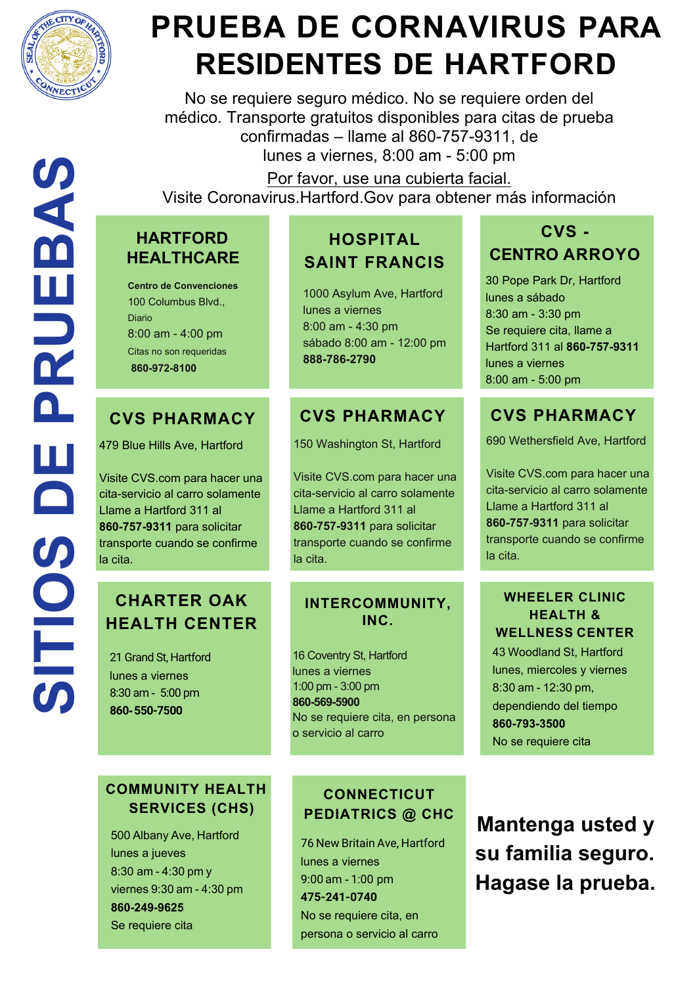

Ш

Щ

No se requiere seguro médico. No se requiere orden del médico. Transporte gratuitos disponibles para citas de prueba confirmadas – llame al 860-757-9311, de lunes a viernes, 8:00 am - 5:00 pm

Por favor, use una cubierta facial.

Visite Coronavirus.Hartford.Gov para obtener más información

## **PRUEBA DE CORNAVIRUS PARA RESIDENTES DE HARTFORD**

### **HOSPITAL SAINT FRANCIS**

1000 Asylum Ave, Hartford lunes a viernes 8:00 am - 4:30 pm sábado 8:00 am - 12:00 pm **888-786-2790**

21 Grand St, Hartford lunes a viernes 8:30 am - 5:00 pm **860-550-7500**

## **CHARTER OAK HEALTH CENTER**

**WHEELER CLINIC HEALTH & WELLNESS CENTER** 43 Woodland St, Hartford lunes, miercoles y viernes 8:30 am - 12:30 pm, dependiendo del tiempo **860-793-3500** No se requiere cita

690 Wethersfield Ave, Hartford

Visite CVS.com para hacer una cita-servicio al carro solamente Llame a Hartford 311 al **860-757-9311** para solicitar transporte cuando se confirme la cita.

30 Pope Park Dr, Hartford lunes a sábado 8:30 am - 3:30 pm Se requiere cita, llame a Hartford 311 al **860-757-9311** lunes a viernes 8:00 am - 5:00 pm

## **CVS PHARMACY**

479 Blue Hills Ave, Hartford

Visite CVS.com para hacer una cita-servicio al carro solamente Llame a Hartford 311 al **860-757-9311** para solicitar transporte cuando se confirme la cita.

#### **COMMUNITY HEALTH SERVICES (CHS)**

500 Albany Ave, Hartford lunes a jueves 8:30 am - 4:30 pm y viernes 9:30 am - 4:30 pm **860-249-9625** Se requiere cita

#### **CVS PHARMACY**

150 Washington St, Hartford

Visite CVS.com para hacer una cita-servicio al carro solamente Llame a Hartford 311 al **860-757-9311** para solicitar transporte cuando se confirme la cita.

#### **INTERCOMMUNITY, INC.**

16 Coventry St, Hartford lunes a viernes 1:00 pm - 3:00 pm **860-569-5900** No se requiere cita, en persona o servicio al carro

#### **CVS PHARMACY**

## **CVS - CENTRO ARROYO**

#### **CONNECTICUT PEDIATRICS @ CHC**

76 New Britain Ave, Hartford lunes a viernes 9:00 am - 1:00 pm **475-241-0740** No se requiere cita, en persona o servicio al carro

**Mantenga usted y su familia seguro. Hagase la prueba.** 

#### **HARTFORD HEALTHCARE**

**Centro de Convenciones** 100 Columbus Blvd., **Diario** 8:00 am - 4:00 pm Citas no son requeridas **860-972-8100**